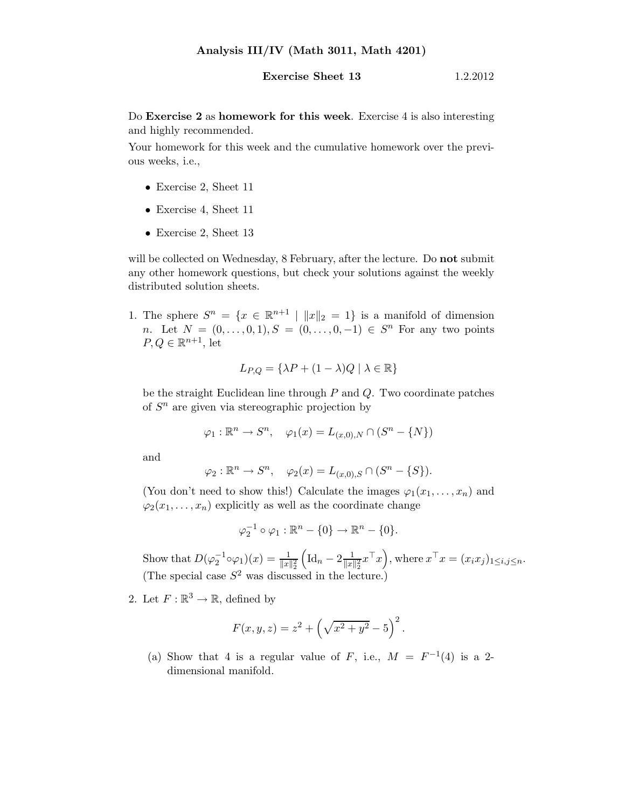## **Exercise Sheet 13** 1.2.2012

Do Exercise 2 as homework for this week. Exercise 4 is also interesting and highly recommended.

Your homework for this week and the cumulative homework over the previous weeks, i.e.,

- Exercise 2, Sheet 11
- Exercise 4, Sheet 11
- Exercise 2, Sheet 13

will be collected on Wednesday, 8 February, after the lecture. Do **not** submit any other homework questions, but check your solutions against the weekly distributed solution sheets.

1. The sphere  $S^n = \{x \in \mathbb{R}^{n+1} \mid ||x||_2 = 1\}$  is a manifold of dimension *n*. Let  $N = (0, \ldots, 0, 1), S = (0, \ldots, 0, -1) \in S<sup>n</sup>$  For any two points  $P, Q \in \mathbb{R}^{n+1}$ , let

$$
L_{P,Q} = \{ \lambda P + (1 - \lambda)Q \mid \lambda \in \mathbb{R} \}
$$

be the straight Euclidean line through  $P$  and  $Q$ . Two coordinate patches of  $S<sup>n</sup>$  are given via stereographic projection by

$$
\varphi_1 : \mathbb{R}^n \to S^n, \quad \varphi_1(x) = L_{(x,0),N} \cap (S^n - \{N\})
$$

and

$$
\varphi_2 : \mathbb{R}^n \to S^n, \quad \varphi_2(x) = L_{(x,0),S} \cap (S^n - \{S\}).
$$

(You don't need to show this!) Calculate the images  $\varphi_1(x_1, \ldots, x_n)$  and  $\varphi_2(x_1,\ldots,x_n)$  explicitly as well as the coordinate change

$$
\varphi_2^{-1} \circ \varphi_1 : \mathbb{R}^n - \{0\} \to \mathbb{R}^n - \{0\}.
$$

Show that  $D(\varphi_2^{-1} \circ \varphi_1)(x) = \frac{1}{\|x\|_2^2}$  $\left(\mathrm{Id}_n - 2\frac{1}{\|x\|}\right)$  $\frac{1}{\|x\|_2^2}x^{\top}x$ , where  $x^{\top}x = (x_ix_j)_{1 \leq i,j \leq n}$ . (The special case  $S^2$  was discussed in the lecture.)

2. Let  $F: \mathbb{R}^3 \to \mathbb{R}$ , defined by

$$
F(x, y, z) = z2 + \left(\sqrt{x^{2} + y^{2}} - 5\right)^{2}.
$$

(a) Show that 4 is a regular value of F, i.e.,  $M = F^{-1}(4)$  is a 2dimensional manifold.